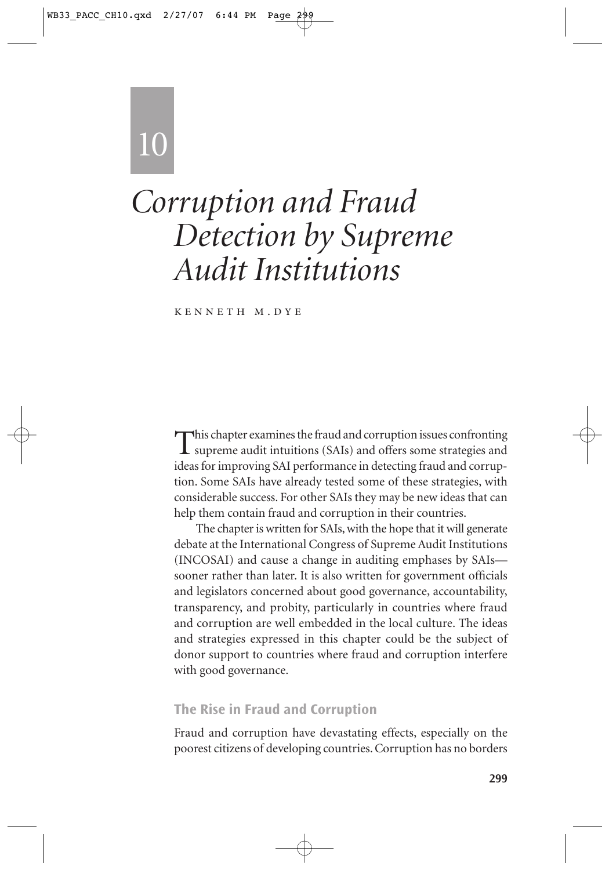# 10

# *Corruption and Fraud Detection by Supreme Audit Institutions*

kenneth m.dye

This chapter examines the fraud and corruption issues confronting  $\blacktriangle$  supreme audit intuitions (SAIs) and offers some strategies and ideas for improving SAI performance in detecting fraud and corruption. Some SAIs have already tested some of these strategies, with considerable success. For other SAIs they may be new ideas that can help them contain fraud and corruption in their countries.

The chapter is written for SAIs, with the hope that it will generate debate at the International Congress of Supreme Audit Institutions (INCOSAI) and cause a change in auditing emphases by SAIs sooner rather than later. It is also written for government officials and legislators concerned about good governance, accountability, transparency, and probity, particularly in countries where fraud and corruption are well embedded in the local culture. The ideas and strategies expressed in this chapter could be the subject of donor support to countries where fraud and corruption interfere with good governance.

# **The Rise in Fraud and Corruption**

Fraud and corruption have devastating effects, especially on the poorest citizens of developing countries. Corruption has no borders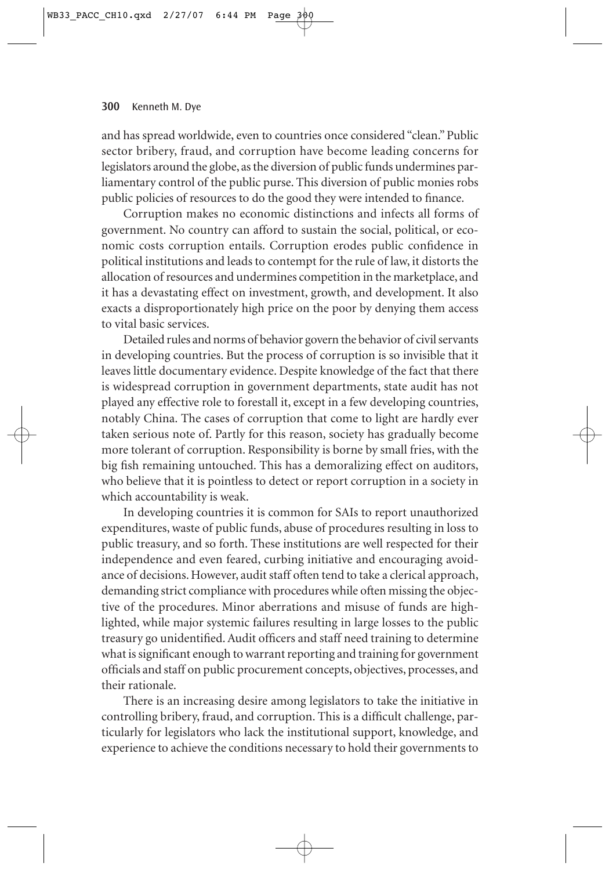and has spread worldwide, even to countries once considered "clean." Public sector bribery, fraud, and corruption have become leading concerns for legislators around the globe, as the diversion of public funds undermines parliamentary control of the public purse. This diversion of public monies robs public policies of resources to do the good they were intended to finance.

Corruption makes no economic distinctions and infects all forms of government. No country can afford to sustain the social, political, or economic costs corruption entails. Corruption erodes public confidence in political institutions and leads to contempt for the rule of law, it distorts the allocation of resources and undermines competition in the marketplace, and it has a devastating effect on investment, growth, and development. It also exacts a disproportionately high price on the poor by denying them access to vital basic services.

Detailed rules and norms of behavior govern the behavior of civil servants in developing countries. But the process of corruption is so invisible that it leaves little documentary evidence. Despite knowledge of the fact that there is widespread corruption in government departments, state audit has not played any effective role to forestall it, except in a few developing countries, notably China. The cases of corruption that come to light are hardly ever taken serious note of. Partly for this reason, society has gradually become more tolerant of corruption. Responsibility is borne by small fries, with the big fish remaining untouched. This has a demoralizing effect on auditors, who believe that it is pointless to detect or report corruption in a society in which accountability is weak.

In developing countries it is common for SAIs to report unauthorized expenditures, waste of public funds, abuse of procedures resulting in loss to public treasury, and so forth. These institutions are well respected for their independence and even feared, curbing initiative and encouraging avoidance of decisions. However, audit staff often tend to take a clerical approach, demanding strict compliance with procedures while often missing the objective of the procedures. Minor aberrations and misuse of funds are highlighted, while major systemic failures resulting in large losses to the public treasury go unidentified. Audit officers and staff need training to determine what is significant enough to warrant reporting and training for government officials and staff on public procurement concepts, objectives, processes, and their rationale.

There is an increasing desire among legislators to take the initiative in controlling bribery, fraud, and corruption. This is a difficult challenge, particularly for legislators who lack the institutional support, knowledge, and experience to achieve the conditions necessary to hold their governments to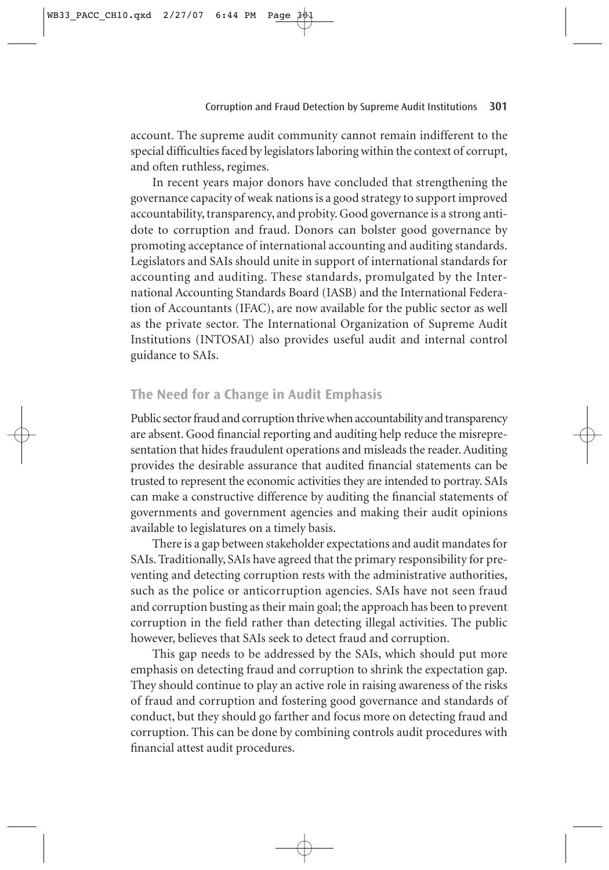account. The supreme audit community cannot remain indifferent to the special difficulties faced by legislators laboring within the context of corrupt, and often ruthless, regimes.

In recent years major donors have concluded that strengthening the governance capacity of weak nations is a good strategy to support improved accountability, transparency, and probity. Good governance is a strong antidote to corruption and fraud. Donors can bolster good governance by promoting acceptance of international accounting and auditing standards. Legislators and SAIs should unite in support of international standards for accounting and auditing. These standards, promulgated by the International Accounting Standards Board (IASB) and the International Federation of Accountants (IFAC), are now available for the public sector as well as the private sector. The International Organization of Supreme Audit Institutions (INTOSAI) also provides useful audit and internal control guidance to SAIs.

# **The Need for a Change in Audit Emphasis**

Public sector fraud and corruption thrive when accountability and transparency are absent. Good financial reporting and auditing help reduce the misrepresentation that hides fraudulent operations and misleads the reader. Auditing provides the desirable assurance that audited financial statements can be trusted to represent the economic activities they are intended to portray. SAIs can make a constructive difference by auditing the financial statements of governments and government agencies and making their audit opinions available to legislatures on a timely basis.

There is a gap between stakeholder expectations and audit mandates for SAIs. Traditionally, SAIs have agreed that the primary responsibility for preventing and detecting corruption rests with the administrative authorities, such as the police or anticorruption agencies. SAIs have not seen fraud and corruption busting as their main goal; the approach has been to prevent corruption in the field rather than detecting illegal activities. The public however, believes that SAIs seek to detect fraud and corruption.

This gap needs to be addressed by the SAIs, which should put more emphasis on detecting fraud and corruption to shrink the expectation gap. They should continue to play an active role in raising awareness of the risks of fraud and corruption and fostering good governance and standards of conduct, but they should go farther and focus more on detecting fraud and corruption. This can be done by combining controls audit procedures with financial attest audit procedures.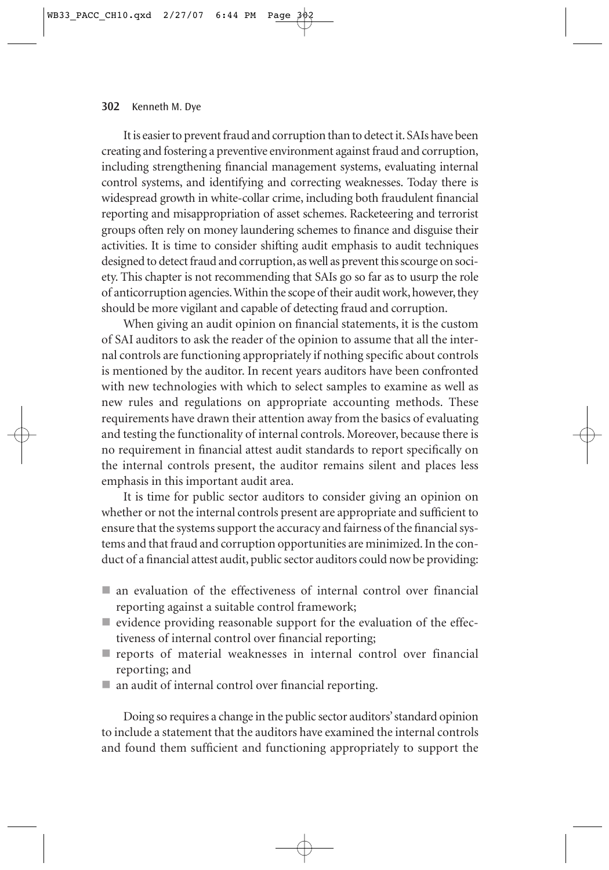It is easier to prevent fraud and corruption than to detect it.SAIs have been creating and fostering a preventive environment against fraud and corruption, including strengthening financial management systems, evaluating internal control systems, and identifying and correcting weaknesses. Today there is widespread growth in white-collar crime, including both fraudulent financial reporting and misappropriation of asset schemes. Racketeering and terrorist groups often rely on money laundering schemes to finance and disguise their activities. It is time to consider shifting audit emphasis to audit techniques designed to detect fraud and corruption, as well as prevent this scourge on society. This chapter is not recommending that SAIs go so far as to usurp the role of anticorruption agencies.Within the scope of their audit work, however, they should be more vigilant and capable of detecting fraud and corruption.

When giving an audit opinion on financial statements, it is the custom of SAI auditors to ask the reader of the opinion to assume that all the internal controls are functioning appropriately if nothing specific about controls is mentioned by the auditor. In recent years auditors have been confronted with new technologies with which to select samples to examine as well as new rules and regulations on appropriate accounting methods. These requirements have drawn their attention away from the basics of evaluating and testing the functionality of internal controls. Moreover, because there is no requirement in financial attest audit standards to report specifically on the internal controls present, the auditor remains silent and places less emphasis in this important audit area.

It is time for public sector auditors to consider giving an opinion on whether or not the internal controls present are appropriate and sufficient to ensure that the systems support the accuracy and fairness of the financial systems and that fraud and corruption opportunities are minimized. In the conduct of a financial attest audit, public sector auditors could now be providing:

- $\blacksquare$  an evaluation of the effectiveness of internal control over financial reporting against a suitable control framework;
- evidence providing reasonable support for the evaluation of the effectiveness of internal control over financial reporting;
- reports of material weaknesses in internal control over financial reporting; and
- $\blacksquare$  an audit of internal control over financial reporting.

Doing so requires a change in the public sector auditors' standard opinion to include a statement that the auditors have examined the internal controls and found them sufficient and functioning appropriately to support the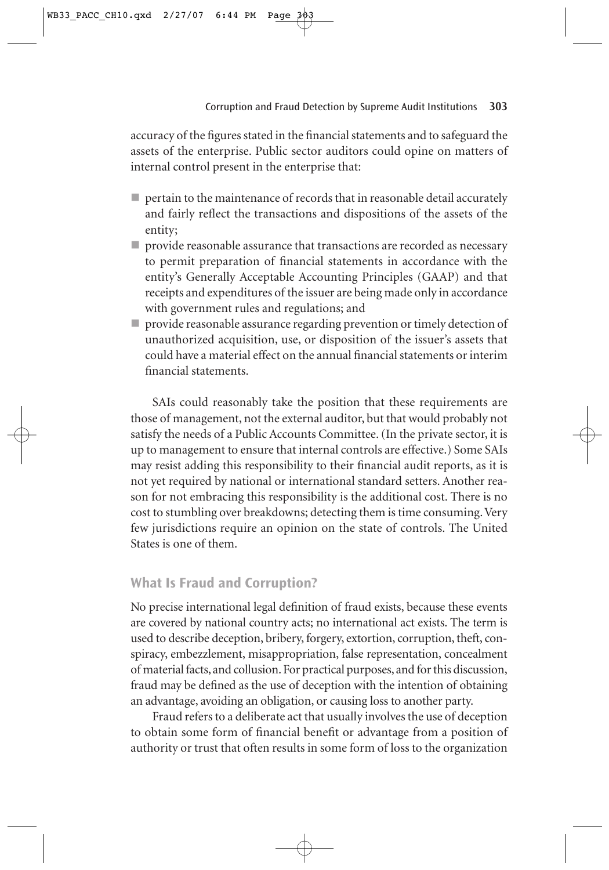accuracy of the figures stated in the financial statements and to safeguard the assets of the enterprise. Public sector auditors could opine on matters of internal control present in the enterprise that:

- $\blacksquare$  pertain to the maintenance of records that in reasonable detail accurately and fairly reflect the transactions and dispositions of the assets of the entity;
- $\blacksquare$  provide reasonable assurance that transactions are recorded as necessary to permit preparation of financial statements in accordance with the entity's Generally Acceptable Accounting Principles (GAAP) and that receipts and expenditures of the issuer are being made only in accordance with government rules and regulations; and
- provide reasonable assurance regarding prevention or timely detection of unauthorized acquisition, use, or disposition of the issuer's assets that could have a material effect on the annual financial statements or interim financial statements.

SAIs could reasonably take the position that these requirements are those of management, not the external auditor, but that would probably not satisfy the needs of a Public Accounts Committee. (In the private sector, it is up to management to ensure that internal controls are effective.) Some SAIs may resist adding this responsibility to their financial audit reports, as it is not yet required by national or international standard setters. Another reason for not embracing this responsibility is the additional cost. There is no cost to stumbling over breakdowns; detecting them is time consuming. Very few jurisdictions require an opinion on the state of controls. The United States is one of them.

### **What Is Fraud and Corruption?**

No precise international legal definition of fraud exists, because these events are covered by national country acts; no international act exists. The term is used to describe deception, bribery, forgery, extortion, corruption, theft, conspiracy, embezzlement, misappropriation, false representation, concealment of material facts, and collusion. For practical purposes, and for this discussion, fraud may be defined as the use of deception with the intention of obtaining an advantage, avoiding an obligation, or causing loss to another party.

Fraud refers to a deliberate act that usually involves the use of deception to obtain some form of financial benefit or advantage from a position of authority or trust that often results in some form of loss to the organization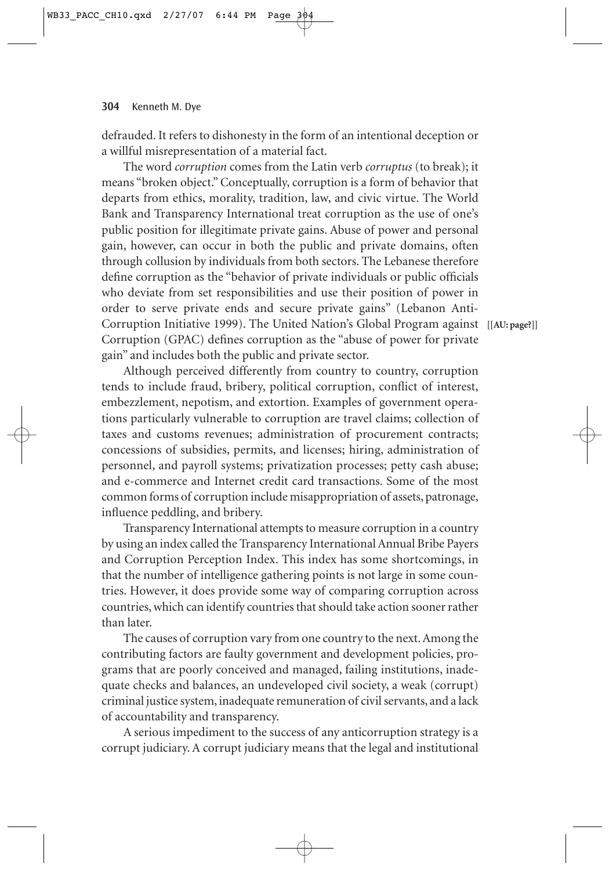defrauded. It refers to dishonesty in the form of an intentional deception or a willful misrepresentation of a material fact.

The word *corruption* comes from the Latin verb *corruptus* (to break); it means "broken object." Conceptually, corruption is a form of behavior that departs from ethics, morality, tradition, law, and civic virtue. The World Bank and Transparency International treat corruption as the use of one's public position for illegitimate private gains. Abuse of power and personal gain, however, can occur in both the public and private domains, often through collusion by individuals from both sectors. The Lebanese therefore define corruption as the "behavior of private individuals or public officials who deviate from set responsibilities and use their position of power in order to serve private ends and secure private gains" (Lebanon Anti-Corruption Initiative 1999). The United Nation's Global Program against **[[AU: page?]]** Corruption (GPAC) defines corruption as the "abuse of power for private gain" and includes both the public and private sector.

Although perceived differently from country to country, corruption tends to include fraud, bribery, political corruption, conflict of interest, embezzlement, nepotism, and extortion. Examples of government operations particularly vulnerable to corruption are travel claims; collection of taxes and customs revenues; administration of procurement contracts; concessions of subsidies, permits, and licenses; hiring, administration of personnel, and payroll systems; privatization processes; petty cash abuse; and e-commerce and Internet credit card transactions. Some of the most common forms of corruption include misappropriation of assets, patronage, influence peddling, and bribery.

Transparency International attempts to measure corruption in a country by using an index called the Transparency International Annual Bribe Payers and Corruption Perception Index. This index has some shortcomings, in that the number of intelligence gathering points is not large in some countries. However, it does provide some way of comparing corruption across countries, which can identify countries that should take action sooner rather than later.

The causes of corruption vary from one country to the next. Among the contributing factors are faulty government and development policies, programs that are poorly conceived and managed, failing institutions, inadequate checks and balances, an undeveloped civil society, a weak (corrupt) criminal justice system, inadequate remuneration of civil servants, and a lack of accountability and transparency.

A serious impediment to the success of any anticorruption strategy is a corrupt judiciary. A corrupt judiciary means that the legal and institutional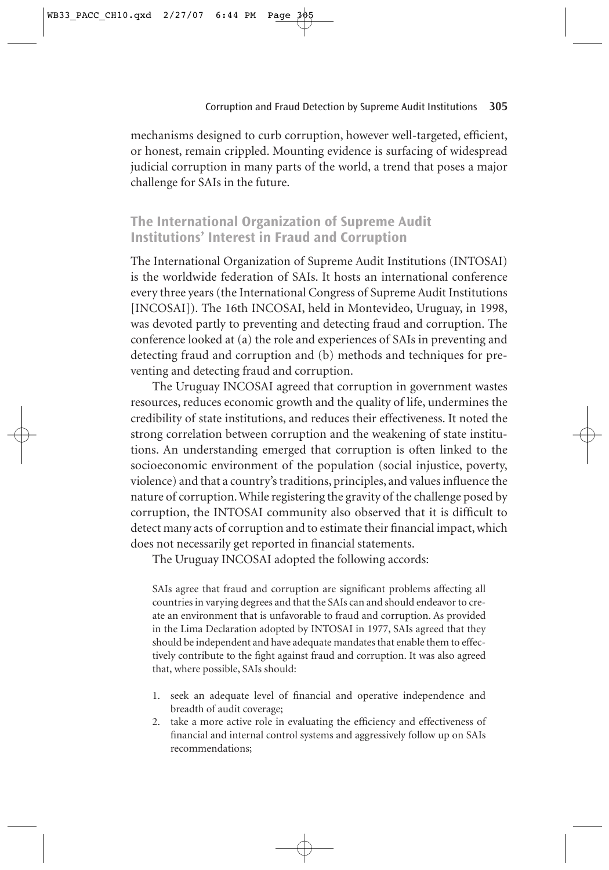mechanisms designed to curb corruption, however well-targeted, efficient, or honest, remain crippled. Mounting evidence is surfacing of widespread judicial corruption in many parts of the world, a trend that poses a major challenge for SAIs in the future.

# **The International Organization of Supreme Audit Institutions' Interest in Fraud and Corruption**

The International Organization of Supreme Audit Institutions (INTOSAI) is the worldwide federation of SAIs. It hosts an international conference every three years (the International Congress of Supreme Audit Institutions [INCOSAI]). The 16th INCOSAI, held in Montevideo, Uruguay, in 1998, was devoted partly to preventing and detecting fraud and corruption. The conference looked at (a) the role and experiences of SAIs in preventing and detecting fraud and corruption and (b) methods and techniques for preventing and detecting fraud and corruption.

The Uruguay INCOSAI agreed that corruption in government wastes resources, reduces economic growth and the quality of life, undermines the credibility of state institutions, and reduces their effectiveness. It noted the strong correlation between corruption and the weakening of state institutions. An understanding emerged that corruption is often linked to the socioeconomic environment of the population (social injustice, poverty, violence) and that a country's traditions, principles, and values influence the nature of corruption. While registering the gravity of the challenge posed by corruption, the INTOSAI community also observed that it is difficult to detect many acts of corruption and to estimate their financial impact, which does not necessarily get reported in financial statements.

The Uruguay INCOSAI adopted the following accords:

SAIs agree that fraud and corruption are significant problems affecting all countries in varying degrees and that the SAIs can and should endeavor to create an environment that is unfavorable to fraud and corruption. As provided in the Lima Declaration adopted by INTOSAI in 1977, SAIs agreed that they should be independent and have adequate mandates that enable them to effectively contribute to the fight against fraud and corruption. It was also agreed that, where possible, SAIs should:

- 1. seek an adequate level of financial and operative independence and breadth of audit coverage;
- 2. take a more active role in evaluating the efficiency and effectiveness of financial and internal control systems and aggressively follow up on SAIs recommendations;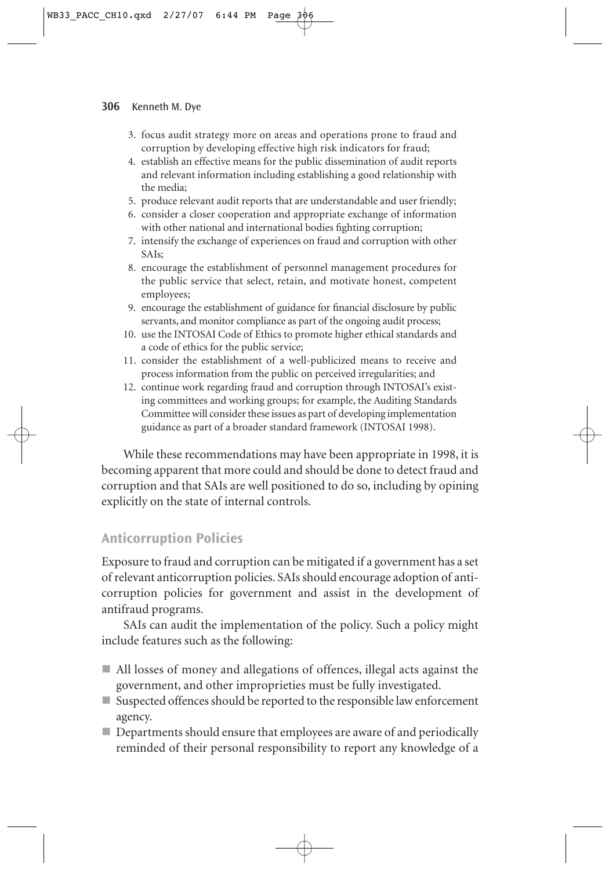- 3. focus audit strategy more on areas and operations prone to fraud and corruption by developing effective high risk indicators for fraud;
- 4. establish an effective means for the public dissemination of audit reports and relevant information including establishing a good relationship with the media;
- 5. produce relevant audit reports that are understandable and user friendly;
- 6. consider a closer cooperation and appropriate exchange of information with other national and international bodies fighting corruption;
- 7. intensify the exchange of experiences on fraud and corruption with other SAIs;
- 8. encourage the establishment of personnel management procedures for the public service that select, retain, and motivate honest, competent employees;
- 9. encourage the establishment of guidance for financial disclosure by public servants, and monitor compliance as part of the ongoing audit process;
- 10. use the INTOSAI Code of Ethics to promote higher ethical standards and a code of ethics for the public service;
- 11. consider the establishment of a well-publicized means to receive and process information from the public on perceived irregularities; and
- 12. continue work regarding fraud and corruption through INTOSAI's existing committees and working groups; for example, the Auditing Standards Committee will consider these issues as part of developing implementation guidance as part of a broader standard framework (INTOSAI 1998).

While these recommendations may have been appropriate in 1998, it is becoming apparent that more could and should be done to detect fraud and corruption and that SAIs are well positioned to do so, including by opining explicitly on the state of internal controls.

# **Anticorruption Policies**

Exposure to fraud and corruption can be mitigated if a government has a set of relevant anticorruption policies. SAIs should encourage adoption of anticorruption policies for government and assist in the development of antifraud programs.

SAIs can audit the implementation of the policy. Such a policy might include features such as the following:

- In All losses of money and allegations of offences, illegal acts against the government, and other improprieties must be fully investigated.
- Suspected offences should be reported to the responsible law enforcement agency.
- Departments should ensure that employees are aware of and periodically reminded of their personal responsibility to report any knowledge of a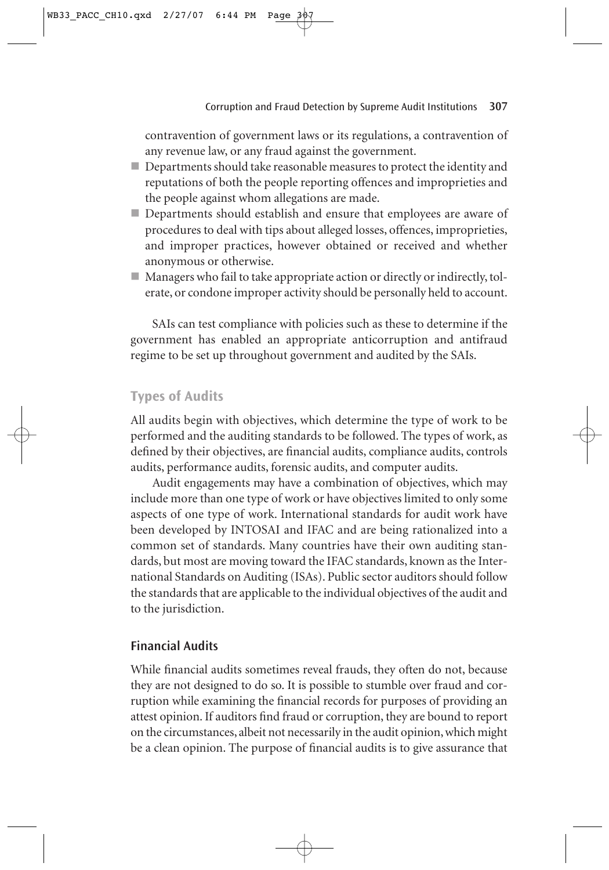contravention of government laws or its regulations, a contravention of any revenue law, or any fraud against the government.

- $\blacksquare$  Departments should take reasonable measures to protect the identity and reputations of both the people reporting offences and improprieties and the people against whom allegations are made.
- Departments should establish and ensure that employees are aware of procedures to deal with tips about alleged losses, offences, improprieties, and improper practices, however obtained or received and whether anonymous or otherwise.
- $\blacksquare$  Managers who fail to take appropriate action or directly or indirectly, tolerate, or condone improper activity should be personally held to account.

SAIs can test compliance with policies such as these to determine if the government has enabled an appropriate anticorruption and antifraud regime to be set up throughout government and audited by the SAIs.

# **Types of Audits**

All audits begin with objectives, which determine the type of work to be performed and the auditing standards to be followed. The types of work, as defined by their objectives, are financial audits, compliance audits, controls audits, performance audits, forensic audits, and computer audits.

Audit engagements may have a combination of objectives, which may include more than one type of work or have objectives limited to only some aspects of one type of work. International standards for audit work have been developed by INTOSAI and IFAC and are being rationalized into a common set of standards. Many countries have their own auditing standards, but most are moving toward the IFAC standards, known as the International Standards on Auditing (ISAs). Public sector auditors should follow the standards that are applicable to the individual objectives of the audit and to the jurisdiction.

# **Financial Audits**

While financial audits sometimes reveal frauds, they often do not, because they are not designed to do so. It is possible to stumble over fraud and corruption while examining the financial records for purposes of providing an attest opinion. If auditors find fraud or corruption, they are bound to report on the circumstances, albeit not necessarily in the audit opinion, which might be a clean opinion. The purpose of financial audits is to give assurance that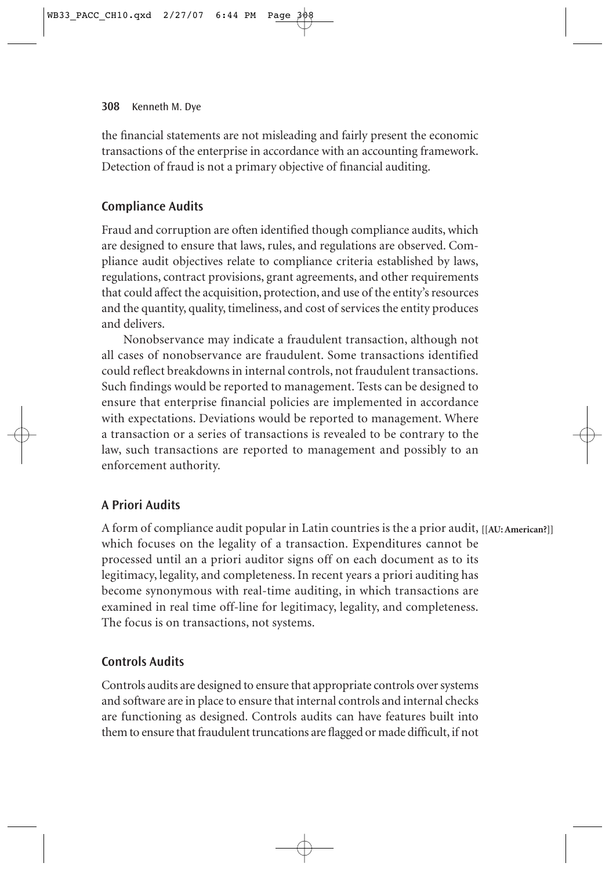the financial statements are not misleading and fairly present the economic transactions of the enterprise in accordance with an accounting framework. Detection of fraud is not a primary objective of financial auditing.

#### **Compliance Audits**

Fraud and corruption are often identified though compliance audits, which are designed to ensure that laws, rules, and regulations are observed. Compliance audit objectives relate to compliance criteria established by laws, regulations, contract provisions, grant agreements, and other requirements that could affect the acquisition, protection, and use of the entity's resources and the quantity, quality, timeliness, and cost of services the entity produces and delivers.

Nonobservance may indicate a fraudulent transaction, although not all cases of nonobservance are fraudulent. Some transactions identified could reflect breakdowns in internal controls, not fraudulent transactions. Such findings would be reported to management. Tests can be designed to ensure that enterprise financial policies are implemented in accordance with expectations. Deviations would be reported to management. Where a transaction or a series of transactions is revealed to be contrary to the law, such transactions are reported to management and possibly to an enforcement authority.

# **A Priori Audits**

A form of compliance audit popular in Latin countries is the a prior audit, **[[AU: American?]]** which focuses on the legality of a transaction. Expenditures cannot be processed until an a priori auditor signs off on each document as to its legitimacy, legality, and completeness. In recent years a priori auditing has become synonymous with real-time auditing, in which transactions are examined in real time off-line for legitimacy, legality, and completeness. The focus is on transactions, not systems.

#### **Controls Audits**

Controls audits are designed to ensure that appropriate controls over systems and software are in place to ensure that internal controls and internal checks are functioning as designed. Controls audits can have features built into them to ensure that fraudulent truncations are flagged or made difficult, if not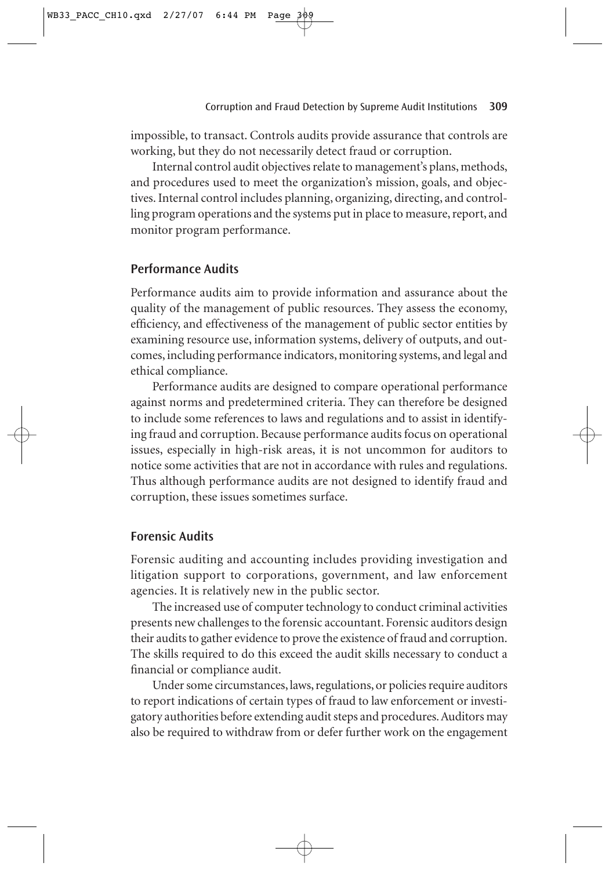impossible, to transact. Controls audits provide assurance that controls are working, but they do not necessarily detect fraud or corruption.

Internal control audit objectives relate to management's plans, methods, and procedures used to meet the organization's mission, goals, and objectives. Internal control includes planning, organizing, directing, and controlling program operations and the systems put in place to measure, report, and monitor program performance.

# **Performance Audits**

Performance audits aim to provide information and assurance about the quality of the management of public resources. They assess the economy, efficiency, and effectiveness of the management of public sector entities by examining resource use, information systems, delivery of outputs, and outcomes, including performance indicators, monitoring systems, and legal and ethical compliance.

Performance audits are designed to compare operational performance against norms and predetermined criteria. They can therefore be designed to include some references to laws and regulations and to assist in identifying fraud and corruption. Because performance audits focus on operational issues, especially in high-risk areas, it is not uncommon for auditors to notice some activities that are not in accordance with rules and regulations. Thus although performance audits are not designed to identify fraud and corruption, these issues sometimes surface.

#### **Forensic Audits**

Forensic auditing and accounting includes providing investigation and litigation support to corporations, government, and law enforcement agencies. It is relatively new in the public sector.

The increased use of computer technology to conduct criminal activities presents new challenges to the forensic accountant. Forensic auditors design their audits to gather evidence to prove the existence of fraud and corruption. The skills required to do this exceed the audit skills necessary to conduct a financial or compliance audit.

Under some circumstances, laws, regulations, or policies require auditors to report indications of certain types of fraud to law enforcement or investigatory authorities before extending audit steps and procedures.Auditors may also be required to withdraw from or defer further work on the engagement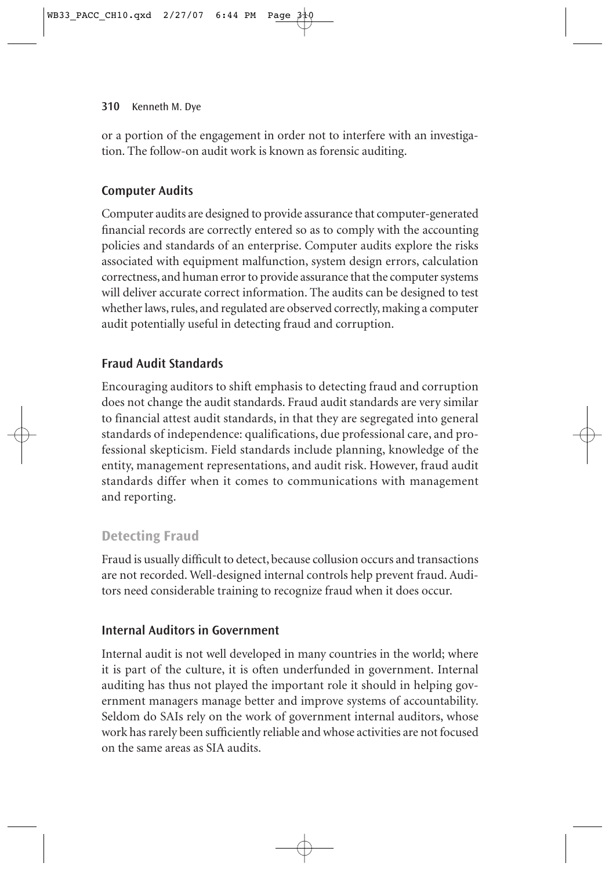or a portion of the engagement in order not to interfere with an investigation. The follow-on audit work is known as forensic auditing.

#### **Computer Audits**

Computer audits are designed to provide assurance that computer-generated financial records are correctly entered so as to comply with the accounting policies and standards of an enterprise. Computer audits explore the risks associated with equipment malfunction, system design errors, calculation correctness, and human error to provide assurance that the computer systems will deliver accurate correct information. The audits can be designed to test whether laws, rules, and regulated are observed correctly, making a computer audit potentially useful in detecting fraud and corruption.

# **Fraud Audit Standards**

Encouraging auditors to shift emphasis to detecting fraud and corruption does not change the audit standards. Fraud audit standards are very similar to financial attest audit standards, in that they are segregated into general standards of independence: qualifications, due professional care, and professional skepticism. Field standards include planning, knowledge of the entity, management representations, and audit risk. However, fraud audit standards differ when it comes to communications with management and reporting.

# **Detecting Fraud**

Fraud is usually difficult to detect, because collusion occurs and transactions are not recorded. Well-designed internal controls help prevent fraud. Auditors need considerable training to recognize fraud when it does occur.

### **Internal Auditors in Government**

Internal audit is not well developed in many countries in the world; where it is part of the culture, it is often underfunded in government. Internal auditing has thus not played the important role it should in helping government managers manage better and improve systems of accountability. Seldom do SAIs rely on the work of government internal auditors, whose work has rarely been sufficiently reliable and whose activities are not focused on the same areas as SIA audits.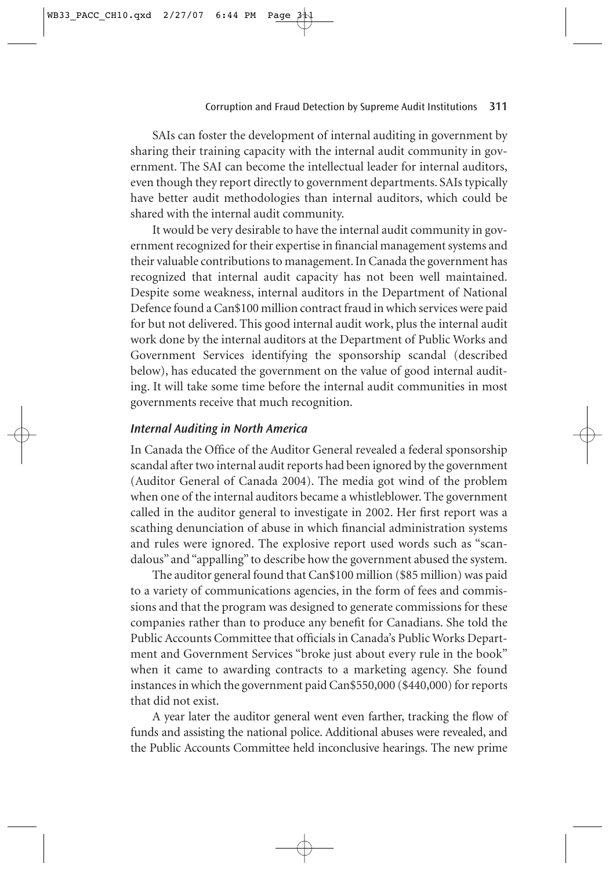SAIs can foster the development of internal auditing in government by sharing their training capacity with the internal audit community in government. The SAI can become the intellectual leader for internal auditors, even though they report directly to government departments. SAIs typically have better audit methodologies than internal auditors, which could be shared with the internal audit community.

It would be very desirable to have the internal audit community in government recognized for their expertise in financial management systems and their valuable contributions to management. In Canada the government has recognized that internal audit capacity has not been well maintained. Despite some weakness, internal auditors in the Department of National Defence found a Can\$100 million contract fraud in which services were paid for but not delivered. This good internal audit work, plus the internal audit work done by the internal auditors at the Department of Public Works and Government Services identifying the sponsorship scandal (described below), has educated the government on the value of good internal auditing. It will take some time before the internal audit communities in most governments receive that much recognition.

#### *Internal Auditing in North America*

In Canada the Office of the Auditor General revealed a federal sponsorship scandal after two internal audit reports had been ignored by the government (Auditor General of Canada 2004). The media got wind of the problem when one of the internal auditors became a whistleblower. The government called in the auditor general to investigate in 2002. Her first report was a scathing denunciation of abuse in which financial administration systems and rules were ignored. The explosive report used words such as "scandalous" and "appalling" to describe how the government abused the system.

The auditor general found that Can\$100 million (\$85 million) was paid to a variety of communications agencies, in the form of fees and commissions and that the program was designed to generate commissions for these companies rather than to produce any benefit for Canadians. She told the Public Accounts Committee that officials in Canada's Public Works Department and Government Services "broke just about every rule in the book" when it came to awarding contracts to a marketing agency. She found instances in which the government paid Can\$550,000 (\$440,000) for reports that did not exist.

A year later the auditor general went even farther, tracking the flow of funds and assisting the national police. Additional abuses were revealed, and the Public Accounts Committee held inconclusive hearings. The new prime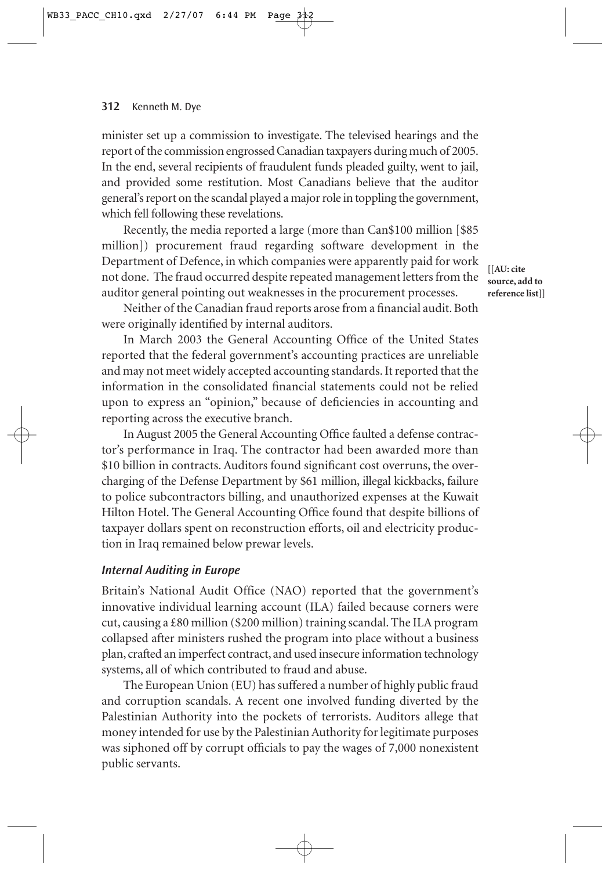minister set up a commission to investigate. The televised hearings and the report of the commission engrossed Canadian taxpayers during much of 2005. In the end, several recipients of fraudulent funds pleaded guilty, went to jail, and provided some restitution. Most Canadians believe that the auditor general's report on the scandal played a major role in toppling the government, which fell following these revelations.

Recently, the media reported a large (more than Can\$100 million [\$85 million]) procurement fraud regarding software development in the Department of Defence, in which companies were apparently paid for work not done. The fraud occurred despite repeated management letters from the auditor general pointing out weaknesses in the procurement processes.

**[[AU: cite source, add to reference list]]**

Neither of the Canadian fraud reports arose from a financial audit. Both were originally identified by internal auditors.

In March 2003 the General Accounting Office of the United States reported that the federal government's accounting practices are unreliable and may not meet widely accepted accounting standards. It reported that the information in the consolidated financial statements could not be relied upon to express an "opinion," because of deficiencies in accounting and reporting across the executive branch.

In August 2005 the General Accounting Office faulted a defense contractor's performance in Iraq. The contractor had been awarded more than \$10 billion in contracts. Auditors found significant cost overruns, the overcharging of the Defense Department by \$61 million, illegal kickbacks, failure to police subcontractors billing, and unauthorized expenses at the Kuwait Hilton Hotel. The General Accounting Office found that despite billions of taxpayer dollars spent on reconstruction efforts, oil and electricity production in Iraq remained below prewar levels.

#### *Internal Auditing in Europe*

Britain's National Audit Office (NAO) reported that the government's innovative individual learning account (ILA) failed because corners were cut, causing a £80 million (\$200 million) training scandal. The ILA program collapsed after ministers rushed the program into place without a business plan, crafted an imperfect contract, and used insecure information technology systems, all of which contributed to fraud and abuse.

The European Union (EU) has suffered a number of highly public fraud and corruption scandals. A recent one involved funding diverted by the Palestinian Authority into the pockets of terrorists. Auditors allege that money intended for use by the Palestinian Authority for legitimate purposes was siphoned off by corrupt officials to pay the wages of 7,000 nonexistent public servants.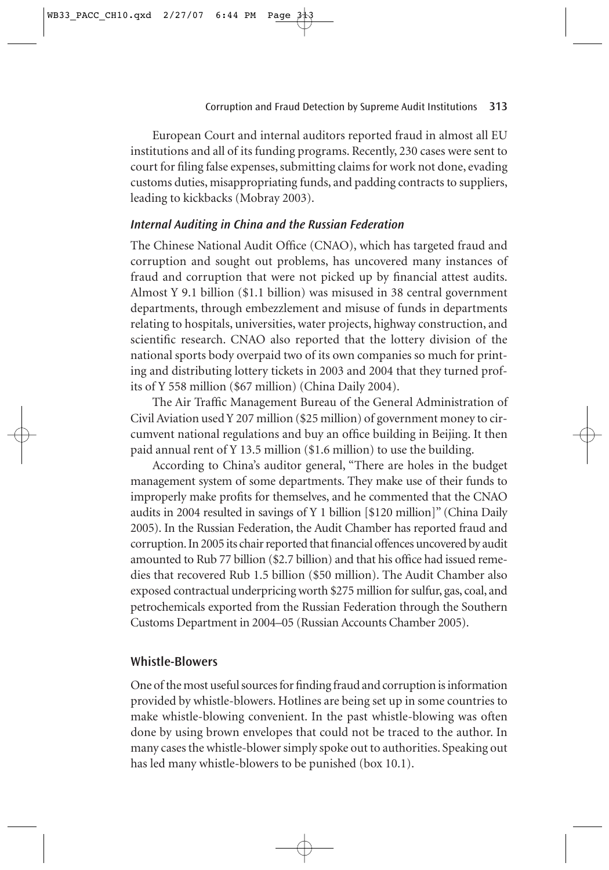European Court and internal auditors reported fraud in almost all EU institutions and all of its funding programs. Recently, 230 cases were sent to court for filing false expenses, submitting claims for work not done, evading customs duties, misappropriating funds, and padding contracts to suppliers, leading to kickbacks (Mobray 2003).

#### *Internal Auditing in China and the Russian Federation*

The Chinese National Audit Office (CNAO), which has targeted fraud and corruption and sought out problems, has uncovered many instances of fraud and corruption that were not picked up by financial attest audits. Almost Y 9.1 billion (\$1.1 billion) was misused in 38 central government departments, through embezzlement and misuse of funds in departments relating to hospitals, universities, water projects, highway construction, and scientific research. CNAO also reported that the lottery division of the national sports body overpaid two of its own companies so much for printing and distributing lottery tickets in 2003 and 2004 that they turned profits of Y 558 million (\$67 million) (China Daily 2004).

The Air Traffic Management Bureau of the General Administration of Civil Aviation used Y 207 million (\$25 million) of government money to circumvent national regulations and buy an office building in Beijing. It then paid annual rent of Y 13.5 million (\$1.6 million) to use the building.

According to China's auditor general, "There are holes in the budget management system of some departments. They make use of their funds to improperly make profits for themselves, and he commented that the CNAO audits in 2004 resulted in savings of Y 1 billion [\$120 million]" (China Daily 2005). In the Russian Federation, the Audit Chamber has reported fraud and corruption.In 2005 its chair reported that financial offences uncovered by audit amounted to Rub 77 billion (\$2.7 billion) and that his office had issued remedies that recovered Rub 1.5 billion (\$50 million). The Audit Chamber also exposed contractual underpricing worth \$275 million for sulfur, gas, coal, and petrochemicals exported from the Russian Federation through the Southern Customs Department in 2004–05 (Russian Accounts Chamber 2005).

#### **Whistle-Blowers**

One of the most useful sources for finding fraud and corruption is information provided by whistle-blowers. Hotlines are being set up in some countries to make whistle-blowing convenient. In the past whistle-blowing was often done by using brown envelopes that could not be traced to the author. In many cases the whistle-blower simply spoke out to authorities. Speaking out has led many whistle-blowers to be punished (box 10.1).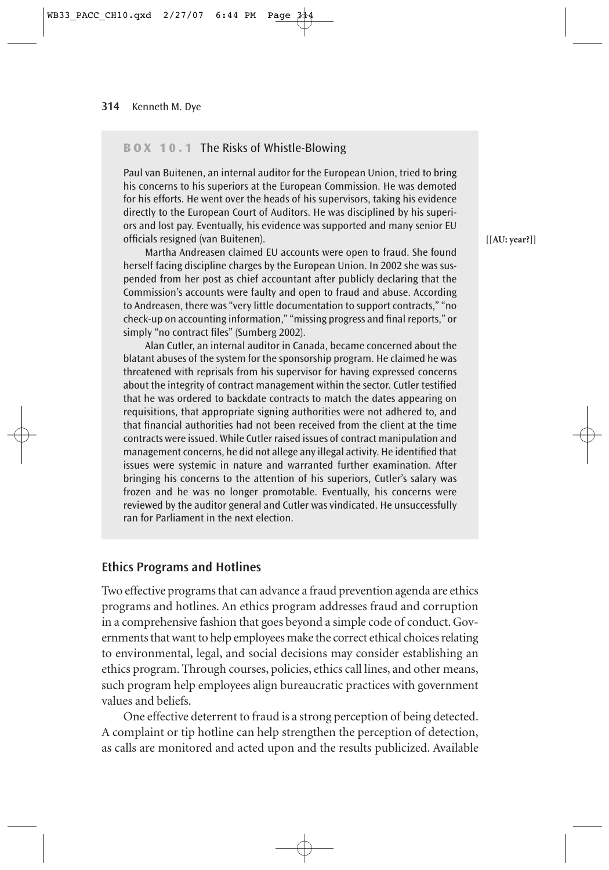#### **BOX 10.1** The Risks of Whistle-Blowing

Paul van Buitenen, an internal auditor for the European Union, tried to bring his concerns to his superiors at the European Commission. He was demoted for his efforts. He went over the heads of his supervisors, taking his evidence directly to the European Court of Auditors. He was disciplined by his superiors and lost pay. Eventually, his evidence was supported and many senior EU officials resigned (van Buitenen).

Martha Andreasen claimed EU accounts were open to fraud. She found herself facing discipline charges by the European Union. In 2002 she was suspended from her post as chief accountant after publicly declaring that the Commission's accounts were faulty and open to fraud and abuse. According to Andreasen, there was "very little documentation to support contracts," "no check-up on accounting information," "missing progress and final reports," or simply "no contract files" (Sumberg 2002).

Alan Cutler, an internal auditor in Canada, became concerned about the blatant abuses of the system for the sponsorship program. He claimed he was threatened with reprisals from his supervisor for having expressed concerns about the integrity of contract management within the sector. Cutler testified that he was ordered to backdate contracts to match the dates appearing on requisitions, that appropriate signing authorities were not adhered to, and that financial authorities had not been received from the client at the time contracts were issued. While Cutler raised issues of contract manipulation and management concerns, he did not allege any illegal activity. He identified that issues were systemic in nature and warranted further examination. After bringing his concerns to the attention of his superiors, Cutler's salary was frozen and he was no longer promotable. Eventually, his concerns were reviewed by the auditor general and Cutler was vindicated. He unsuccessfully ran for Parliament in the next election.

# **Ethics Programs and Hotlines**

Two effective programs that can advance a fraud prevention agenda are ethics programs and hotlines. An ethics program addresses fraud and corruption in a comprehensive fashion that goes beyond a simple code of conduct. Governments that want to help employees make the correct ethical choices relating to environmental, legal, and social decisions may consider establishing an ethics program. Through courses, policies, ethics call lines, and other means, such program help employees align bureaucratic practices with government values and beliefs.

One effective deterrent to fraud is a strong perception of being detected. A complaint or tip hotline can help strengthen the perception of detection, as calls are monitored and acted upon and the results publicized. Available

**[[AU: year?]]**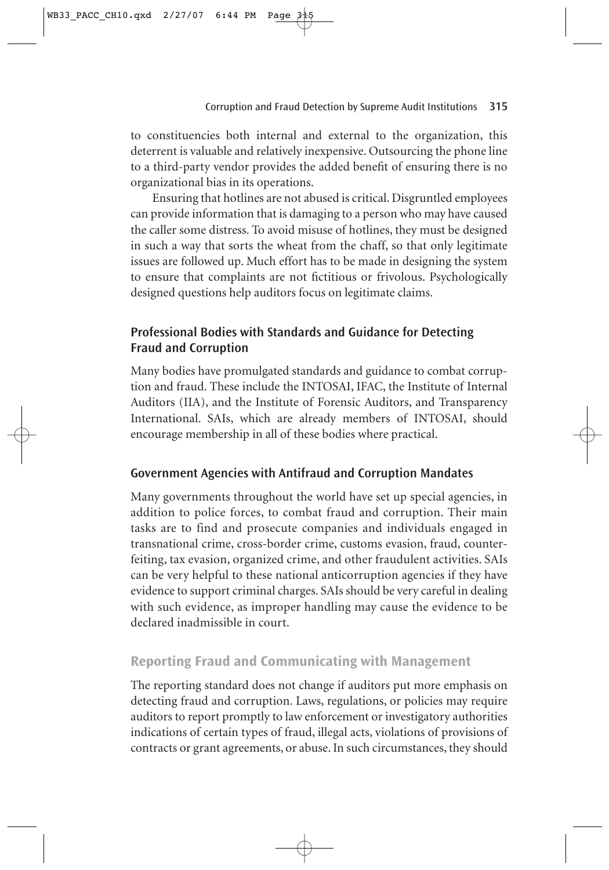to constituencies both internal and external to the organization, this deterrent is valuable and relatively inexpensive. Outsourcing the phone line to a third-party vendor provides the added benefit of ensuring there is no organizational bias in its operations.

Ensuring that hotlines are not abused is critical. Disgruntled employees can provide information that is damaging to a person who may have caused the caller some distress. To avoid misuse of hotlines, they must be designed in such a way that sorts the wheat from the chaff, so that only legitimate issues are followed up. Much effort has to be made in designing the system to ensure that complaints are not fictitious or frivolous. Psychologically designed questions help auditors focus on legitimate claims.

# **Professional Bodies with Standards and Guidance for Detecting Fraud and Corruption**

Many bodies have promulgated standards and guidance to combat corruption and fraud. These include the INTOSAI, IFAC, the Institute of Internal Auditors (IIA), and the Institute of Forensic Auditors, and Transparency International. SAIs, which are already members of INTOSAI, should encourage membership in all of these bodies where practical.

# **Government Agencies with Antifraud and Corruption Mandates**

Many governments throughout the world have set up special agencies, in addition to police forces, to combat fraud and corruption. Their main tasks are to find and prosecute companies and individuals engaged in transnational crime, cross-border crime, customs evasion, fraud, counterfeiting, tax evasion, organized crime, and other fraudulent activities. SAIs can be very helpful to these national anticorruption agencies if they have evidence to support criminal charges. SAIs should be very careful in dealing with such evidence, as improper handling may cause the evidence to be declared inadmissible in court.

# **Reporting Fraud and Communicating with Management**

The reporting standard does not change if auditors put more emphasis on detecting fraud and corruption. Laws, regulations, or policies may require auditors to report promptly to law enforcement or investigatory authorities indications of certain types of fraud, illegal acts, violations of provisions of contracts or grant agreements, or abuse. In such circumstances, they should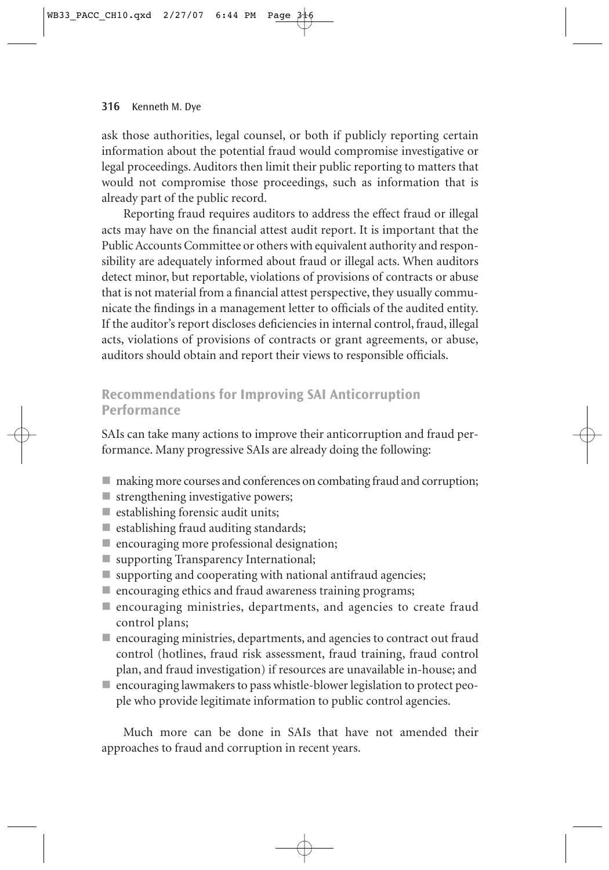ask those authorities, legal counsel, or both if publicly reporting certain information about the potential fraud would compromise investigative or legal proceedings. Auditors then limit their public reporting to matters that would not compromise those proceedings, such as information that is already part of the public record.

Reporting fraud requires auditors to address the effect fraud or illegal acts may have on the financial attest audit report. It is important that the Public Accounts Committee or others with equivalent authority and responsibility are adequately informed about fraud or illegal acts. When auditors detect minor, but reportable, violations of provisions of contracts or abuse that is not material from a financial attest perspective, they usually communicate the findings in a management letter to officials of the audited entity. If the auditor's report discloses deficiencies in internal control, fraud, illegal acts, violations of provisions of contracts or grant agreements, or abuse, auditors should obtain and report their views to responsible officials.

# **Recommendations for Improving SAI Anticorruption Performance**

SAIs can take many actions to improve their anticorruption and fraud performance. Many progressive SAIs are already doing the following:

- $\blacksquare$  making more courses and conferences on combating fraud and corruption;
- **I** strengthening investigative powers;
- establishing forensic audit units;
- establishing fraud auditing standards;
- $\blacksquare$  encouraging more professional designation;
- **E** supporting Transparency International;
- upporting and cooperating with national antifraud agencies;
- $\blacksquare$  encouraging ethics and fraud awareness training programs;
- **EXECUTE:** encouraging ministries, departments, and agencies to create fraud control plans;
- $\blacksquare$  encouraging ministries, departments, and agencies to contract out fraud control (hotlines, fraud risk assessment, fraud training, fraud control plan, and fraud investigation) if resources are unavailable in-house; and
- $\blacksquare$  encouraging lawmakers to pass whistle-blower legislation to protect people who provide legitimate information to public control agencies.

Much more can be done in SAIs that have not amended their approaches to fraud and corruption in recent years.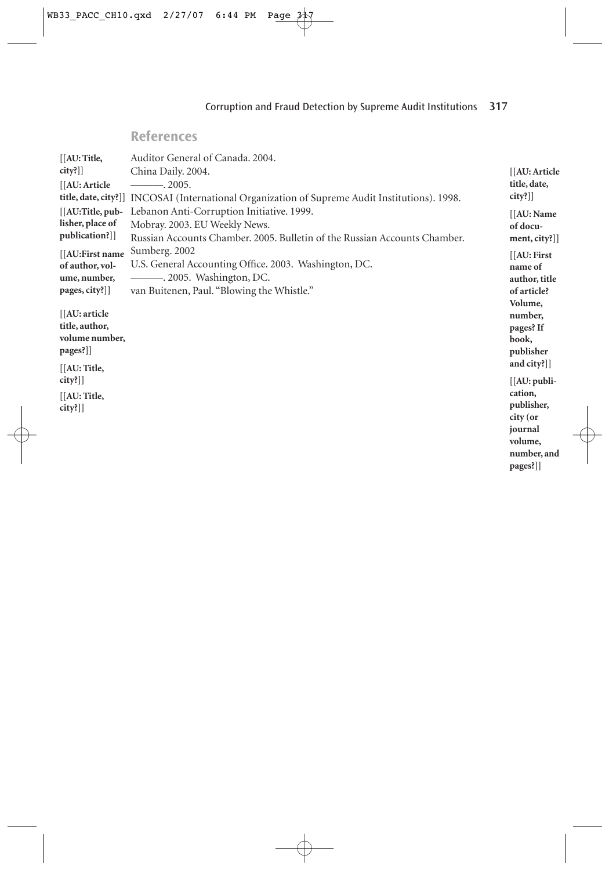# **References**

| [ AU:Title,                      | Auditor General of Canada, 2004.                                                               |                       |
|----------------------------------|------------------------------------------------------------------------------------------------|-----------------------|
| city?]                           | China Daily. 2004.                                                                             | [[AU: Article]        |
| [[AU: Article]                   | $\frac{1}{2005}$ .                                                                             | title, date,          |
|                                  | title, date, city?]] INCOSAI (International Organization of Supreme Audit Institutions). 1998. | city?]                |
| $[ AU:Title, pub-$               | Lebanon Anti-Corruption Initiative. 1999.                                                      | [[AU: Name]           |
| lisher, place of                 | Mobray. 2003. EU Weekly News.                                                                  | of docu-              |
| publication?]                    | Russian Accounts Chamber, 2005. Bulletin of the Russian Accounts Chamber.                      | ment, city?]]         |
| [[AU:First name]                 | Sumberg. 2002                                                                                  | $[$ $[$ AU: First     |
| of author, vol-                  | U.S. General Accounting Office. 2003. Washington, DC.                                          | name of               |
| ume, number,                     |                                                                                                | author, title         |
| pages, city?]]                   | van Buitenen, Paul. "Blowing the Whistle."                                                     | of article?           |
|                                  |                                                                                                | Volume,               |
| [[AU: article]                   |                                                                                                | number,               |
| title, author,<br>volume number, |                                                                                                | pages? If<br>book,    |
| pages?]]                         |                                                                                                | publisher             |
|                                  |                                                                                                | and city?]]           |
| $[$ $[$ AU: Title,               |                                                                                                |                       |
| city?]                           |                                                                                                | $[[AU:publi-$         |
| $\left[$ [AU: Title,             |                                                                                                | cation,<br>publisher, |
| city?]                           |                                                                                                | city (or              |
|                                  |                                                                                                | journal               |
|                                  |                                                                                                | volume,               |
|                                  |                                                                                                | number, and           |
|                                  |                                                                                                | pages?]]              |